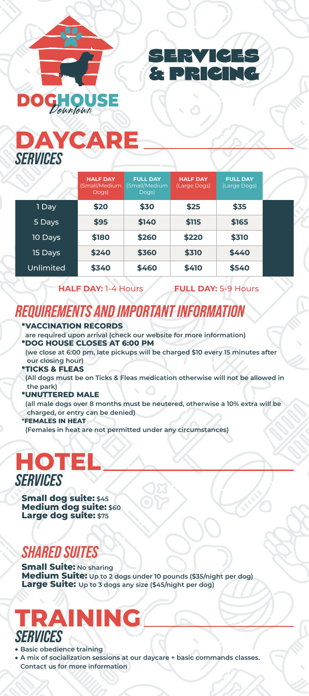



## **DAYCARE** *SERVICES*

# **HOTEL** *SERVICES*

## **TRAINING** *SERVICES*

### *SHARED SUITES*

### *REQUIREMENTS AND IMPORTANT INFORMATION*

#### **\*VACCINATION RECORDS**

 **are required upon arrival (check our website for more information) \*DOG HOUSE CLOSES AT 6:00 PM**

 **(we close at 6:00 pm, late pickups will be charged \$10 every 15 minutes after our closing hour)**

#### **\*TICKS & FLEAS**

 **(All dogs must be on Ticks & Fleas medication otherwise will not be allowed in the park)**

#### **\*UNUTTERED MALE**

 **(all male dogs over 8 months must be neutered, otherwise a 10% extra will be charged, or entry can be denied)**

**Small dog suite: \$45 Medium dog suite: \$60** 

#### **\*FEMALES IN HEAT**

 **(Females in heat are not permitted under any circumstances)**

**Small Suite:** No sharing **Medium Suite: Up to 2 dogs under 10 pounds (\$35/night per dog) Large Suite: Up to 3 dogs any size (\$45/night per dog)**

- **Basic obedience training**
- **A mix of socialization sessions at our daycare + basic commands classes. Contact us for more information**

|         | <b>HALF DAY</b><br>(Small/Medium<br>Dogs) | <b>FULL DAY</b><br>(Small/Medium<br>Dogs) | <b>HALF DAY</b><br>(Large Dogs) | <b>FULL DAY</b><br>(Large Dogs) |  |
|---------|-------------------------------------------|-------------------------------------------|---------------------------------|---------------------------------|--|
| 1 Day   | \$20                                      | \$30                                      | \$25                            | \$35                            |  |
| 5 Days  | \$95                                      | \$140                                     | \$115                           | \$165                           |  |
| 10 Days | \$180                                     | \$260                                     | \$220                           | \$310                           |  |
| 15 Days | \$240                                     | \$360                                     | \$310                           | \$440                           |  |

#### **HALF DAY:** 1-4 Hours **FULL DAY:** 5-9 Hours

| Unlimited<br>\$340 | \$460 | \$410 | \$540 |
|--------------------|-------|-------|-------|
|--------------------|-------|-------|-------|

#### **Large dog suite: \$75**